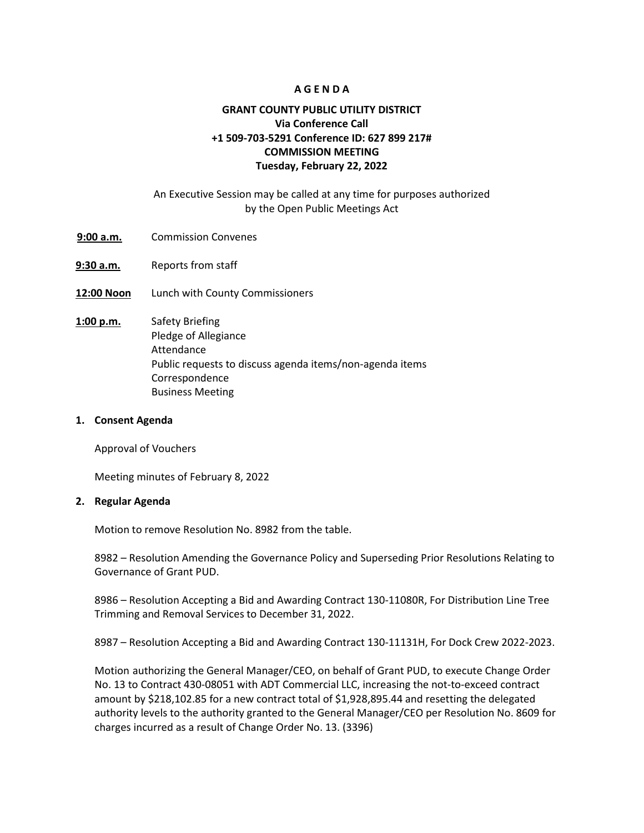#### **A G E N D A**

# **GRANT COUNTY PUBLIC UTILITY DISTRICT Via Conference Call +1 509-703-5291 Conference ID: 627 899 217# COMMISSION MEETING Tuesday, February 22, 2022**

## An Executive Session may be called at any time for purposes authorized by the Open Public Meetings Act

- 9:00 a.m. Commission Convenes
- **9:30 a.m.** Reports from staff
- **12:00 Noon** Lunch with County Commissioners
- **1:00 p.m.** Safety Briefing Pledge of Allegiance Attendance Public requests to discuss agenda items/non-agenda items Correspondence Business Meeting

#### **1. Consent Agenda**

Approval of Vouchers

Meeting minutes of February 8, 2022

#### **2. Regular Agenda**

Motion to remove Resolution No. 8982 from the table.

8982 – Resolution Amending the Governance Policy and Superseding Prior Resolutions Relating to Governance of Grant PUD.

8986 – Resolution Accepting a Bid and Awarding Contract 130-11080R, For Distribution Line Tree Trimming and Removal Services to December 31, 2022.

8987 – Resolution Accepting a Bid and Awarding Contract 130-11131H, For Dock Crew 2022-2023.

Motion authorizing the General Manager/CEO, on behalf of Grant PUD, to execute Change Order No. 13 to Contract 430-08051 with ADT Commercial LLC, increasing the not-to-exceed contract amount by \$218,102.85 for a new contract total of \$1,928,895.44 and resetting the delegated authority levels to the authority granted to the General Manager/CEO per Resolution No. 8609 for charges incurred as a result of Change Order No. 13. (3396)